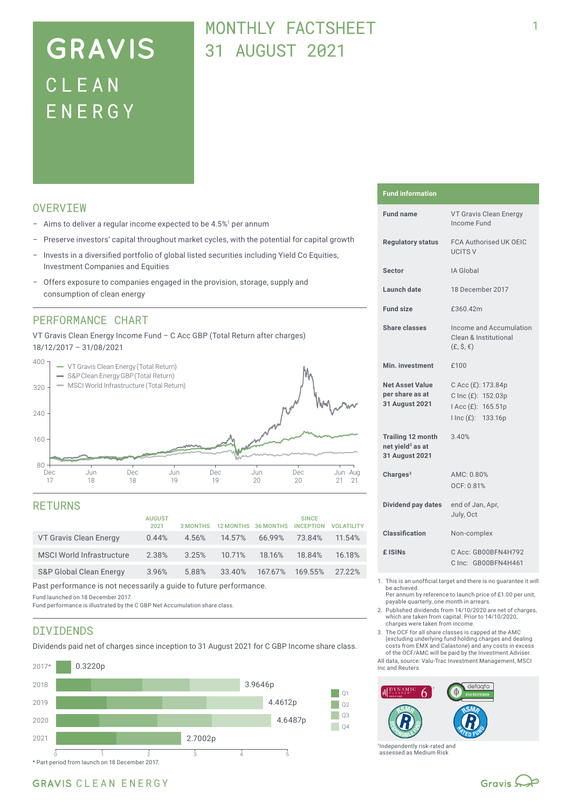# **GRAVIS** CLEA N ENERG Y

# MONTHLY FACTSHEET 31 AUGUST 2021

## **OVERVTEW**

- $-$  Aims to deliver a regular income expected to be 4.5%<sup>1</sup> per annum
- Preserve investors' capital throughout market cycles, with the potential for capital growth
- Invests in a diversified portfolio of global listed securities including Yield Co Equities, Investment Companies and Equities
- Offers exposure to companies engaged in the provision, storage, supply and consumption of clean energy

### PERFORMANCE CHART

VT Gravis Clean Energy Income Fund – C Acc GBP (Total Return after charges) 18/12/2017 – 31/08/2021



#### **RETURNS**

|                                    | <b>AUGUST</b><br>2021 | 3 MONTHS |        | 12 MONTHS 36 MONTHS | <b>SINCE</b><br><b>INCEPTION</b> | <b>VOLATILITY</b> |
|------------------------------------|-----------------------|----------|--------|---------------------|----------------------------------|-------------------|
| VT Gravis Clean Energy             | 0.44%                 | 4.56%    | 14.57% | 66.99%              | 73.84%                           | 11.54%            |
| <b>MSCI World Infrastructure</b>   | 2.38%                 | 3.25%    | 10.71% | 18.16%              | 18.84%                           | 16.18%            |
| <b>S&amp;P Global Clean Energy</b> | 3.96%                 | 5.88%    | 33.40% |                     | 167.67% 169.55%                  | 27.22%            |

Past performance is not necessarily a guide to future performance.

Fund launched on 18 December 2017.

Fund performance is illustrated by the C GBP Net Accumulation share class.

# DIVIDENDS

Dividends paid net of charges since inception to 31 August 2021 for C GBP Income share class.



#### **Fund information**

| <b>Fund name</b>                                                           | VT Gravis Clean Energy<br>Income Fund                                                |  |  |
|----------------------------------------------------------------------------|--------------------------------------------------------------------------------------|--|--|
| <b>Regulatory status</b>                                                   | FCA Authorised UK OEIC<br><b>UCITS V</b>                                             |  |  |
| <b>Sector</b>                                                              | IA Global                                                                            |  |  |
| Launch date                                                                | 18 December 2017                                                                     |  |  |
| <b>Fund size</b>                                                           | £360.42m                                                                             |  |  |
| <b>Share classes</b>                                                       | Income and Accumulation<br>Clean & Institutional<br>$(E, \hat{S}, \hat{\epsilon})$   |  |  |
| Min. investment                                                            | £100                                                                                 |  |  |
| <b>Net Asset Value</b><br>per share as at<br>31 August 2021                | C Acc (£): 173.84p<br>C Inc (£): 152.03p<br>I Acc (£): 165.51p<br>I Inc (£): 133.16p |  |  |
| <b>Trailing 12 month</b><br>net yield <sup>2</sup> as at<br>31 August 2021 | 3.40%                                                                                |  |  |
| Charges $3$                                                                | AMC: 0.80%<br>OCF: 0.81%                                                             |  |  |
| Dividend pay dates                                                         | end of Jan, Apr,<br>July, Oct                                                        |  |  |
| Classification                                                             | Non-complex                                                                          |  |  |
| £ ISIN <sub>S</sub>                                                        | C Acc: GB00BFN4H792<br>Clnc: GB00BFN4H461                                            |  |  |
|                                                                            |                                                                                      |  |  |

- 1. This is an unofficial target and there is no guarantee it will be achieved.
- Per annum by reference to launch price of £1.00 per unit, payable quarterly, one month in arrears.
- 2. Published dividends from 14/10/2020 are net of charges, which are taken from capital. Prior to 14/10/2020, charges were taken from income.
- 3. The OCF for all share classes is capped at the AMC (excluding underlying fund holding charges and dealing costs from EMX and Calastone) and any costs in excess of the OCF/AMC will be paid by the Investment Adviser.

All data, source: Valu-Trac Investment Management, MSCI Inc and Reuters



†Independently risk-rated and assessed as Medium Risk

## GRAVIS CLEAN ENERGY

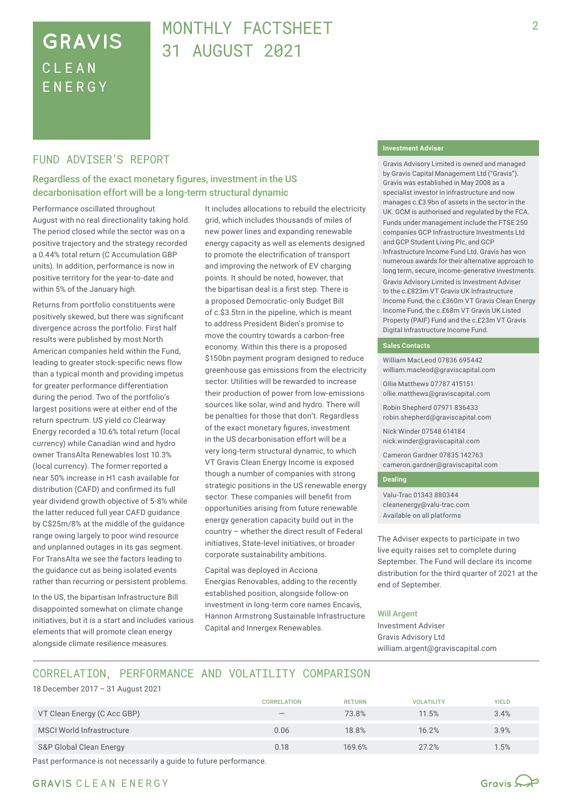# **GRAVIS** CLEA N ENERG Y

# MONTHLY FACTSHEFT 31 AUGUST 2021

### FUND ADVISER'S REPORT

### Regardless of the exact monetary figures, investment in the US decarbonisation effort will be a long-term structural dynamic

Performance oscillated throughout August with no real directionality taking hold. The period closed while the sector was on a positive trajectory and the strategy recorded a 0.44% total return (C Accumulation GBP units). In addition, performance is now in positive territory for the year-to-date and within 5% of the January high.

Returns from portfolio constituents were positively skewed, but there was significant divergence across the portfolio. First half results were published by most North American companies held within the Fund, leading to greater stock-specific news flow than a typical month and providing impetus for greater performance differentiation during the period. Two of the portfolio's largest positions were at either end of the return spectrum. US yield co Clearway Energy recorded a 10.6% total return (local currency) while Canadian wind and hydro owner TransAlta Renewables lost 10.3% (local currency). The former reported a near 50% increase in H1 cash available for distribution (CAFD) and confirmed its full year dividend growth objective of 5-8% while the latter reduced full year CAFD guidance by C\$25m/8% at the middle of the guidance range owing largely to poor wind resource and unplanned outages in its gas segment. For TransAlta we see the factors leading to the guidance cut as being isolated events rather than recurring or persistent problems.

In the US, the bipartisan Infrastructure Bill disappointed somewhat on climate change initiatives, but it is a start and includes various elements that will promote clean energy alongside climate resilience measures.

It includes allocations to rebuild the electricity grid, which includes thousands of miles of new power lines and expanding renewable energy capacity as well as elements designed to promote the electrification of transport and improving the network of EV charging points. It should be noted, however, that the bipartisan deal is a first step. There is a proposed Democratic-only Budget Bill of c.\$3.5trn in the pipeline, which is meant to address President Biden's promise to move the country towards a carbon-free economy. Within this there is a proposed \$150bn payment program designed to reduce greenhouse gas emissions from the electricity sector. Utilities will be rewarded to increase their production of power from low-emissions sources like solar, wind and hydro. There will be penalties for those that don't. Regardless of the exact monetary figures, investment in the US decarbonisation effort will be a very long-term structural dynamic, to which VT Gravis Clean Energy Income is exposed though a number of companies with strong strategic positions in the US renewable energy sector. These companies will benefit from opportunities arising from future renewable energy generation capacity build out in the country – whether the direct result of Federal initiatives, State-level initiatives, or broader corporate sustainability ambitions.

Capital was deployed in Acciona Energias Renovables, adding to the recently established position, alongside follow-on investment in long-term core names Encavis, Hannon Armstrong Sustainable Infrastructure Capital and Innergex Renewables.

#### **Investment Adviser**

Gravis Advisory Limited is owned and managed by Gravis Capital Management Ltd ("Gravis"). Gravis was established in May 2008 as a specialist investor in infrastructure and now manages c.£3.9bn of assets in the sector in the UK. GCM is authorised and regulated by the FCA.

Funds under management include the FTSE 250 companies GCP Infrastructure Investments Ltd and GCP Student Living Plc, and GCP Infrastructure Income Fund Ltd. Gravis has won numerous awards for their alternative approach to long term, secure, income-generative investments. Gravis Advisory Limited is Investment Adviser to the c.£823m VT Gravis UK Infrastructure Income Fund, the c.£360m VT Gravis Clean Energy Income Fund, the c.£68m VT Gravis UK Listed Property (PAIF) Fund and the c.£23m VT Gravis Digital Infrastructure Income Fund.

#### **Sales Contacts**

William MacLeod 07836 695442 william.macleod@graviscapital.com

Ollie Matthews 07787 415151 ollie.matthews@graviscapital.com

Robin Shepherd 07971 836433 robin.shepherd@graviscapital.com

Nick Winder 07548 614184 nick.winder@graviscapital.com

Cameron Gardner 07835 142763 cameron.gardner@graviscapital.com

#### **Dealing**

Valu-Trac 01343 880344 cleanenergy@valu-trac.com Available on all platforms

The Adviser expects to participate in two live equity raises set to complete during September. The Fund will declare its income distribution for the third quarter of 2021 at the end of September.

#### Will Argent

Investment Adviser Gravis Advisory Ltd william.argent@graviscapital.com

# CORRELATION, PERFORMANCE AND VOLATILITY COMPARISON

18 December 2017 – 31 August 2021

|                             | <b>CORRELATION</b>              | <b>RETURN</b> | <b>VOLATILITY</b> | <b>YIELD</b> |
|-----------------------------|---------------------------------|---------------|-------------------|--------------|
| VT Clean Energy (C Acc GBP) | $\hspace{0.1mm}-\hspace{0.1mm}$ | 73.8%         | 11.5%             | 3.4%         |
| MSCI World Infrastructure   | 0.06                            | 18.8%         | 16.2%             | 3.9%         |
| S&P Global Clean Energy     | 0.18                            | 169.6%        | 27.2%             | 1.5%         |

Past performance is not necessarily a guide to future performance.